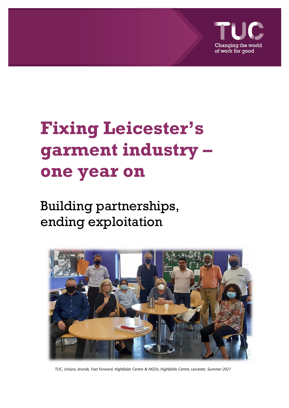

# **Fixing Leicester's garment industry – one year on**

# Building partnerships, ending exploitation



*TUC, Unions, brands, Fast Forward, Highfields Centre & NGOs, Highfields Centre, Leicester, Summer 2021*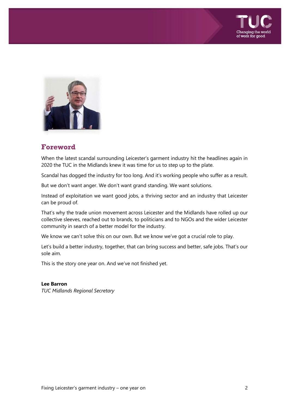



# **Foreword**

When the latest scandal surrounding Leicester's garment industry hit the headlines again in 2020 the TUC in the Midlands knew it was time for us to step up to the plate.

Scandal has dogged the industry for too long. And it's working people who suffer as a result.

But we don't want anger. We don't want grand standing. We want solutions.

Instead of exploitation we want good jobs, a thriving sector and an industry that Leicester can be proud of.

That's why the trade union movement across Leicester and the Midlands have rolled up our collective sleeves, reached out to brands, to politicians and to NGOs and the wider Leicester community in search of a better model for the industry.

We know we can't solve this on our own. But we know we've got a crucial role to play.

Let's build a better industry, together, that can bring success and better, safe jobs. That's our sole aim.

This is the story one year on. And we've not finished yet.

#### **Lee Barron**

*TUC Midlands Regional Secretary*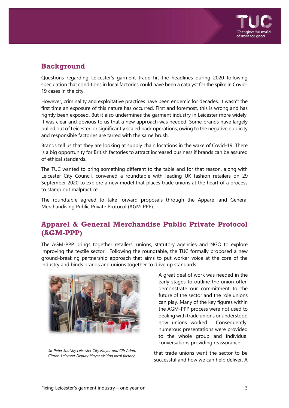

# **Background**

Questions regarding Leicester's garment trade hit the headlines during 2020 following speculation that conditions in local factories could have been a catalyst for the spike in Covid-19 cases in the city.

However, criminality and exploitative practices have been endemic for decades. It wasn't the first time an exposure of this nature has occurred. First and foremost, this is wrong and has rightly been exposed. But it also undermines the garment industry in Leicester more widely. It was clear and obvious to us that a new approach was needed. Some brands have largely pulled out of Leicester, or significantly scaled back operations, owing to the negative publicity and responsible factories are tarred with the same brush.

Brands tell us that they are looking at supply chain locations in the wake of Covid-19. There is a big opportunity for British factories to attract increased business if brands can be assured of ethical standards.

The TUC wanted to bring something different to the table and for that reason, along with Leicester City Council, convened a roundtable with leading UK fashion retailers on 29 September 2020 to explore a new model that places trade unions at the heart of a process to stamp out malpractice.

The roundtable agreed to take forward proposals through the Apparel and General Merchandising Public Private Protocol (AGM-PPP).

# **Apparel & General Merchandise Public Private Protocol (AGM-PPP)**

The AGM-PPP brings together retailers, unions, statutory agencies and NGO to explore improving the textile sector. Following the roundtable, the TUC formally proposed a new ground-breaking partnership approach that aims to put worker voice at the core of the industry and binds brands and unions together to drive up standards



*Sir Peter Soulsby Leicester City Mayor and Cllr Adam Clarke, Leicester Deputy Mayor visiting local factory*

A great deal of work was needed in the early stages to outline the union offer, demonstrate our commitment to the future of the sector and the role unions can play. Many of the key figures within the AGM-PPP process were not used to dealing with trade unions or understood how unions worked. Consequently, numerous presentations were provided to the whole group and individual conversations providing reassurance

that trade unions want the sector to be successful and how we can help deliver. A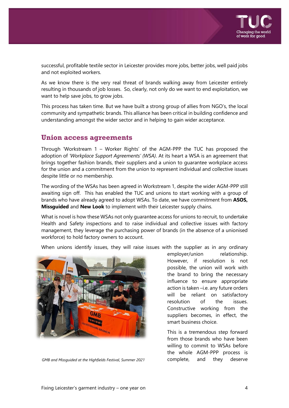

successful, profitable textile sector in Leicester provides more jobs, better jobs, well paid jobs and not exploited workers.

As we know there is the very real threat of brands walking away from Leicester entirely resulting in thousands of job losses. So, clearly, not only do we want to end exploitation, we want to help save jobs, to grow jobs.

This process has taken time. But we have built a strong group of allies from NGO's, the local community and sympathetic brands. This alliance has been critical in building confidence and understanding amongst the wider sector and in helping to gain wider acceptance.

### **Union access agreements**

Through 'Workstream 1 – Worker Rights' of the AGM-PPP the TUC has proposed the adoption of *'Workplace Support Agreements' (WSA)*. At its heart a WSA is an agreement that brings together fashion brands, their suppliers and a union to guarantee workplace access for the union and a commitment from the union to represent individual and collective issues despite little or no membership.

The wording of the WSAs has been agreed in Workstream 1, despite the wider AGM-PPP still awaiting sign off. This has enabled the TUC and unions to start working with a group of brands who have already agreed to adopt WSAs. To date, we have commitment from **ASOS, Missguided** and **New Look** to implement with their Leicester supply chains.

What is novel is how these WSAs not only guarantee access for unions to recruit, to undertake Health and Safety inspections and to raise individual and collective issues with factory management, they leverage the purchasing power of brands (in the absence of a unionised workforce) to hold factory owners to account.

When unions identify issues, they will raise issues with the supplier as in any ordinary



*GMB and Missguided at the Highfields Festival, Summer 2021* complete, and they deserve

employer/union relationship. However, if resolution is not possible, the union will work with the brand to bring the necessary influence to ensure appropriate action is taken –i.e. any future orders will be reliant on satisfactory resolution of the issues. Constructive working from the suppliers becomes, in effect, the smart business choice.

This is a tremendous step forward from those brands who have been willing to commit to WSAs before the whole AGM-PPP process is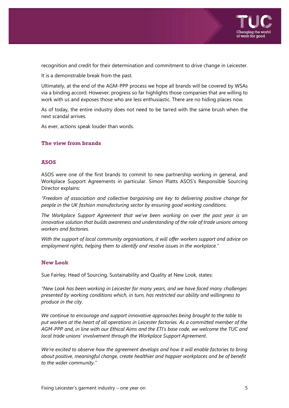

recognition and credit for their determination and commitment to drive change in Leicester.

It is a demonstrable break from the past.

Ultimately, at the end of the AGM-PPP process we hope all brands will be covered by WSAs via a binding accord. However, progress so far highlights those companies that are willing to work with us and exposes those who are less enthusiastic. There are no hiding places now.

As of today, the entire industry does not need to be tarred with the same brush when the next scandal arrives.

As ever, actions speak louder than words.

#### **The view from brands**

#### **ASOS**

ASOS were one of the first brands to commit to new partnership working in general, and Workplace Support Agreements in particular. Simon Platts ASOS's Responsible Sourcing Director explains:

*"Freedom of association and collective bargaining are key to delivering positive change for people in the UK fashion manufacturing sector by ensuring good working conditions.*

*The Workplace Support Agreement that we've been working on over the past year is an innovative solution that builds awareness and understanding of the role of trade unions among workers and factories.*

*With the support of local community organisations, it will offer workers support and advice on employment rights, helping them to identify and resolve issues in the workplace."* 

#### **New Look**

Sue Fairley, Head of Sourcing, Sustainability and Quality at New Look, states:

*"New Look has been working in Leicester for many years, and we have faced many challenges presented by working conditions which, in turn, has restricted our ability and willingness to produce in the city.*

*We continue to encourage and support innovative approaches being brought to the table to put workers at the heart of all operations in Leicester factories. As a committed member of the AGM-PPP and, in line with our Ethical Aims and the ETI's base code, we welcome the TUC and local trade unions' involvement through the Workplace Support Agreement.*

*We're excited to observe how the agreement develops and how it will enable factories to bring about positive, meaningful change, create healthier and happier workplaces and be of benefit to the wider community."*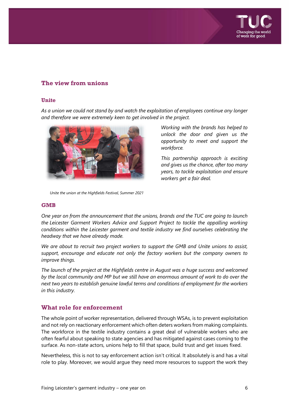

#### **The view from unions**

#### **Unite**

*As a union we could not stand by and watch the exploitation of employees continue any longer and therefore we were extremely keen to get involved in the project.*



*Unite the union at the Highfields Festival, Summer 2021*

*Working with the brands has helped to unlock the door and given us the opportunity to meet and support the workforce.*

*This partnership approach is exciting and gives us the chance, after too many years, to tackle exploitation and ensure workers get a fair deal.*

#### **GMB**

*One year on from the announcement that the unions, brands and the TUC are going to launch the Leicester Garment Workers Advice and Support Project to tackle the appalling working conditions within the Leicester garment and textile industry we find ourselves celebrating the headway that we have already made.*

*We are about to recruit two project workers to support the GMB and Unite unions to assist, support, encourage and educate not only the factory workers but the company owners to improve things.*

*The launch of the project at the Highfields centre in August was a huge success and welcomed by the local community and MP but we still have an enormous amount of work to do over the next two years to establish genuine lawful terms and conditions of employment for the workers in this industry.*

#### **What role for enforcement**

The whole point of worker representation, delivered through WSAs, is to prevent exploitation and not rely on reactionary enforcement which often deters workers from making complaints. The workforce in the textile industry contains a great deal of vulnerable workers who are often fearful about speaking to state agencies and has mitigated against cases coming to the surface. As non-state actors, unions help to fill that space, build trust and get issues fixed.

Nevertheless, this is not to say enforcement action isn't critical. It absolutely is and has a vital role to play. Moreover, we would argue they need more resources to support the work they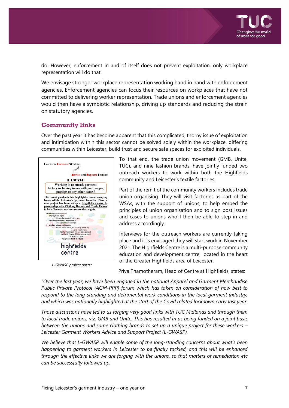

do. However, enforcement in and of itself does not prevent exploitation, only workplace representation will do that.

We envisage stronger workplace representation working hand in hand with enforcement agencies. Enforcement agencies can focus their resources on workplaces that have not committed to delivering worker representation. Trade unions and enforcement agencies would then have a symbiotic relationship, driving up standards and reducing the strain on statutory agencies.

#### **Community links**

Over the past year it has become apparent that this complicated, thorny issue of exploitation and intimidation within this sector cannot be solved solely within the workplace. differing communities within Leicester, build trust and secure safe spaces for exploited individuals.



*L-GWASP project poster*

To that end, the trade union movement (GMB, Unite, TUC), and nine fashion brands, have jointly funded two outreach workers to work within both the Highfields community and Leicester's textile factories.

Part of the remit of the community workers includes trade union organising. They will visit factories as part of the WSAs, with the support of unions, to help embed the principles of union organisation and to sign post issues and cases to unions who'll then be able to step in and address accordingly.

Interviews for the outreach workers are currently taking place and it is envisaged they will start work in November 2021. The Highfields Centre is a multi-purpose community education and development centre, located in the heart of the Greater Highfields area of Leicester.

Priya Thamotheram, Head of Centre at Highfields, states:

*"Over the last year, we have been engaged in the national Apparel and Garment Merchandise Public Private Protocol (AGM-PPP) forum which has taken on consideration of how best to respond to the long-standing and detrimental work conditions in the local garment industry, and which was nationally highlighted at the start of the Covid related lockdown early last year.*

*Those discussions have led to us forging very good links with TUC Midlands and through them to local trade unions, viz. GMB and Unite. This has resulted in us being funded on a joint basis between the unions and some clothing brands to set up a unique project for these workers – Leicester Garment Workers Advice and Support Project (L-GWASP).*

*We believe that L-GWASP will enable some of the long-standing concerns about what's been happening to garment workers in Leicester to be finally tackled, and this will be enhanced through the effective links we are forging with the unions, so that matters of remediation etc can be successfully followed up.*